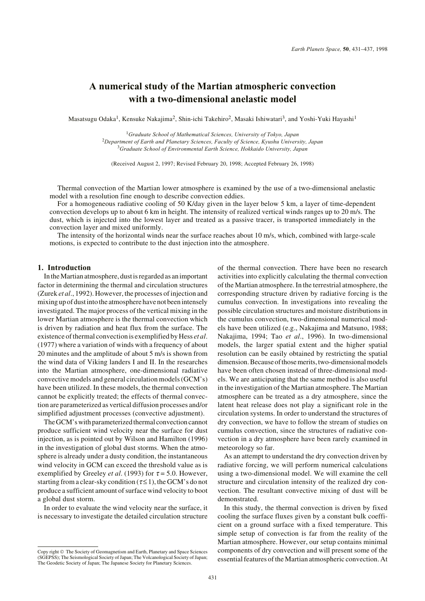# **A numerical study of the Martian atmospheric convection with a two-dimensional anelastic model**

Masatsugu Odaka<sup>1</sup>, Kensuke Nakajima<sup>2</sup>, Shin-ichi Takehiro<sup>2</sup>, Masaki Ishiwatari<sup>3</sup>, and Yoshi-Yuki Hayashi<sup>1</sup>

<sup>1</sup>*Graduate School of Mathematical Sciences, University of Tokyo, Japan* <sup>2</sup>*Department of Earth and Planetary Sciences, Faculty of Science, Kyushu University, Japan* 3 *Graduate School of Environmental Earth Science, Hokkaido University, Japan*

(Received August 2, 1997; Revised February 20, 1998; Accepted February 26, 1998)

Thermal convection of the Martian lower atmosphere is examined by the use of a two-dimensional anelastic model with a resolution fine enough to describe convection eddies.

For a homogeneous radiative cooling of 50 K/day given in the layer below 5 km, a layer of time-dependent convection develops up to about 6 km in height. The intensity of realized vertical winds ranges up to 20 m/s. The dust, which is injected into the lowest layer and treated as a passive tracer, is transported immediately in the convection layer and mixed uniformly.

The intensity of the horizontal winds near the surface reaches about 10 m/s, which, combined with large-scale motions, is expected to contribute to the dust injection into the atmosphere.

## **1. Introduction**

In the Martian atmosphere, dust is regarded as an important factor in determining the thermal and circulation structures (Zurek *et al*., 1992). However, the processes of injection and mixing up of dust into the atmosphere have not been intensely investigated. The major process of the vertical mixing in the lower Martian atmosphere is the thermal convection which is driven by radiation and heat flux from the surface. The existence of thermal convection is exemplified by Hess *et al*. (1977) where a variation of winds with a frequency of about 20 minutes and the amplitude of about 5 m/s is shown from the wind data of Viking landers I and II. In the researches into the Martian atmosphere, one-dimensional radiative convective models and general circulation models (GCM's) have been utilized. In these models, the thermal convection cannot be explicitly treated; the effects of thermal convection are parameterized as vertical diffusion processes and/or simplified adjustment processes (convective adjustment).

The GCM's with parameterized thermal convection cannot produce sufficient wind velocity near the surface for dust injection, as is pointed out by Wilson and Hamilton (1996) in the investigation of global dust storms. When the atmosphere is already under a dusty condition, the instantaneous wind velocity in GCM can exceed the threshold value as is exemplified by Greeley *et al.* (1993) for  $\tau$  = 5.0. However, starting from a clear-sky condition ( $\tau \le 1$ ), the GCM's do not produce a sufficient amount of surface wind velocity to boot a global dust storm.

In order to evaluate the wind velocity near the surface, it is necessary to investigate the detailed circulation structure of the thermal convection. There have been no research activities into explicitly calculating the thermal convection of the Martian atmosphere. In the terrestrial atmosphere, the corresponding structure driven by radiative forcing is the cumulus convection. In investigations into revealing the possible circulation structures and moisture distributions in the cumulus convection, two-dimensional numerical models have been utilized (e.g., Nakajima and Matsuno, 1988; Nakajima, 1994; Tao *et al*., 1996). In two-dimensional models, the larger spatial extent and the higher spatial resolution can be easily obtained by restricting the spatial dimension. Because of those merits, two-dimensional models have been often chosen instead of three-dimensional models. We are anticipating that the same method is also useful in the investigation of the Martian atmosphere. The Martian atmosphere can be treated as a dry atmosphere, since the latent heat release does not play a significant role in the circulation systems. In order to understand the structures of dry convection, we have to follow the stream of studies on cumulus convection, since the structures of radiative convection in a dry atmosphere have been rarely examined in meteorology so far.

As an attempt to understand the dry convection driven by radiative forcing, we will perform numerical calculations using a two-dimensional model. We will examine the cell structure and circulation intensity of the realized dry convection. The resultant convective mixing of dust will be demonstrated.

In this study, the thermal convection is driven by fixed cooling the surface fluxes given by a constant bulk coefficient on a ground surface with a fixed temperature. This simple setup of convection is far from the reality of the Martian atmosphere. However, our setup contains minimal components of dry convection and will present some of the essential features of the Martian atmospheric convection. At

Copy right © The Society of Geomagnetism and Earth, Planetary and Space Sciences (SGEPSS); The Seismological Society of Japan; The Volcanological Society of Japan; The Geodetic Society of Japan; The Japanese Society for Planetary Sciences.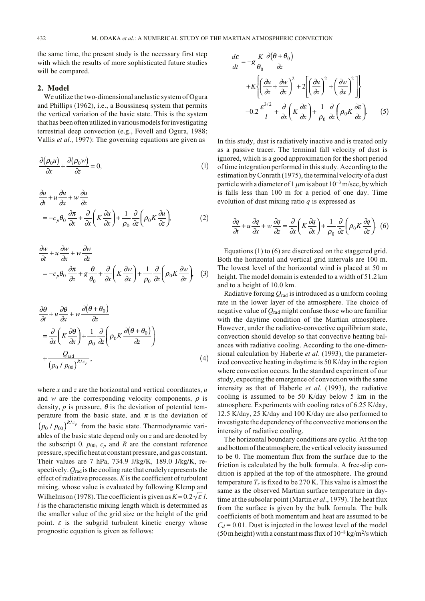the same time, the present study is the necessary first step with which the results of more sophisticated future studies will be compared.

### **2. Model**

We utilize the two-dimensional anelastic system of Ogura and Phillips (1962), i.e., a Boussinesq system that permits the vertical variation of the basic state. This is the system that has been often utilized in various models for investigating terrestrial deep convection (e.g., Fovell and Ogura, 1988; Vallis *et al*., 1997): The governing equations are given as

$$
\frac{\partial(\rho_0 u)}{\partial x} + \frac{\partial(\rho_0 w)}{\partial z} = 0,\tag{1}
$$

$$
\frac{\partial u}{\partial t} + u \frac{\partial u}{\partial x} + w \frac{\partial u}{\partial z} \n= -c_p \theta_0 \frac{\partial \pi}{\partial x} + \frac{\partial}{\partial x} \left( K \frac{\partial u}{\partial x} \right) + \frac{1}{\rho_0} \frac{\partial}{\partial z} \left( \rho_0 K \frac{\partial u}{\partial z} \right),
$$
\n(2)

$$
\frac{\partial w}{\partial t} + u \frac{\partial w}{\partial x} + w \frac{\partial w}{\partial z} \n= -c_p \theta_0 \frac{\partial \pi}{\partial z} + g \frac{\theta}{\theta_0} + \frac{\partial}{\partial x} \left( K \frac{\partial w}{\partial x} \right) + \frac{1}{\rho_0} \frac{\partial}{\partial z} \left( \rho_0 K \frac{\partial w}{\partial z} \right),
$$
\n(3)

$$
\frac{\partial \theta}{\partial t} + u \frac{\partial \theta}{\partial x} + w \frac{\partial (\theta + \theta_0)}{\partial z} \n= \frac{\partial}{\partial x} \left( K \frac{\partial \theta}{\partial x} \right) + \frac{1}{\rho_0} \frac{\partial}{\partial z} \left( \rho_0 K \frac{\partial (\theta + \theta_0)}{\partial z} \right) \n+ \frac{Q_{\text{rad}}}{\left( p_0 / p_{00} \right)^{R/c_p}},
$$
\n(4)

432<br>
432<br>
432<br>
10. ODAKA *et als*: A NUMERICAL STUDY OF<br>
whill which the results of more sophisticated future staties<br>
will be compared.<br>
2. **Model**<br>
We utilize the two-dimensional anelaxic system of Ogura<br>
10. **We utili** where *x* and *z* are the horizontal and vertical coordinates, *u* and *w* are the corresponding velocity components,  $\rho$  is density,  $p$  is pressure,  $\theta$  is the deviation of potential temperature from the basic state, and  $\pi$  is the deviation of  $(p_0 / p_{00})^{R/c_p}$  from the basic state. Thermodynamic variables of the basic state depend only on *z* and are denoted by the subscript 0.  $p_{00}$ ,  $c_p$  and *R* are the constant reference pressure, specific heat at constant pressure, and gas constant. Their values are 7 hPa, 734.9 J/kg/K, 189.0 J/kg/K, respectively.*Q*rad is the cooling rate that crudely represents the effect of radiative processes. *K* is the coefficient of turbulent mixing, whose value is evaluated by following Klemp and Wilhelmson (1978). The coefficient is given as  $K = 0.2 \sqrt{\varepsilon} l$ . *l* is the characteristic mixing length which is determined as the smaller value of the grid size or the height of the grid point.  $\varepsilon$  is the subgrid turbulent kinetic energy whose prognostic equation is given as follows:

$$
\frac{d\varepsilon}{dt} = -g \frac{K}{\theta_0} \frac{\partial(\theta + \theta_0)}{\partial z} \n+ K \left\{ \left( \frac{\partial u}{\partial z} + \frac{\partial w}{\partial x} \right)^2 + 2 \left[ \left( \frac{\partial u}{\partial z} \right)^2 + \left( \frac{\partial w}{\partial x} \right)^2 \right] \right\} \n- 0.2 \frac{\varepsilon^{3/2}}{l} + \frac{\partial}{\partial x} \left( K \frac{\partial \varepsilon}{\partial x} \right) + \frac{1}{\rho_0} \frac{\partial}{\partial z} \left( \rho_0 K \frac{\partial \varepsilon}{\partial z} \right).
$$
\n(5)

In this study, dust is radiatively inactive and is treated only as a passive tracer. The terminal fall velocity of dust is ignored, which is a good approximation for the short period of time integration performed in this study. According to the estimation by Conrath (1975), the terminal velocity of a dust particle with a diameter of 1  $\mu$ m is about 10<sup>-3</sup> m/sec, by which is falls less than 100 m for a period of one day. Time evolution of dust mixing ratio *q* is expressed as

$$
\frac{\partial q}{\partial t} + u \frac{\partial q}{\partial x} + w \frac{\partial q}{\partial z} = \frac{\partial}{\partial x} \left( K \frac{\partial q}{\partial x} \right) + \frac{1}{\rho_0} \frac{\partial}{\partial z} \left( \rho_0 K \frac{\partial q}{\partial z} \right). (6)
$$

Equations (1) to (6) are discretized on the staggered grid. Both the horizontal and vertical grid intervals are 100 m. The lowest level of the horizontal wind is placed at 50 m height. The model domain is extended to a width of 51.2 km and to a height of 10.0 km.

Radiative forcing *Q*rad is introduced as a uniform cooling rate in the lower layer of the atmosphere. The choice of negative value of *Q*rad might confuse those who are familiar with the daytime condition of the Martian atmosphere. However, under the radiative-convective equilibrium state, convection should develop so that convective heating balances with radiative cooling. According to the one-dimensional calculation by Haberle *et al*. (1993), the parameterized convective heating in daytime is 50 K/day in the region where convection occurs. In the standard experiment of our study, expecting the emergence of convection with the same intensity as that of Haberle *et al*. (1993), the radiative cooling is assumed to be 50 K/day below 5 km in the atmosphere. Experiments with cooling rates of 6.25 K/day, 12.5 K/day, 25 K/day and 100 K/day are also performed to investigate the dependency of the convective motions on the intensity of radiative cooling.

The horizontal boundary conditions are cyclic. At the top and bottom of the atmosphere, the vertical velocity is assumed to be 0. The momentum flux from the surface due to the friction is calculated by the bulk formula. A free-slip condition is applied at the top of the atmosphere. The ground temperature  $T_s$  is fixed to be 270 K. This value is almost the same as the observed Martian surface temperature in daytime at the subsolar point (Martin *et al*., 1979). The heat flux from the surface is given by the bulk formula. The bulk coefficients of both momentum and heat are assumed to be  $C_d$  = 0.01. Dust is injected in the lowest level of the model (50 m height) with a constant mass flux of  $10^{-8}$  kg/m<sup>2</sup>/s which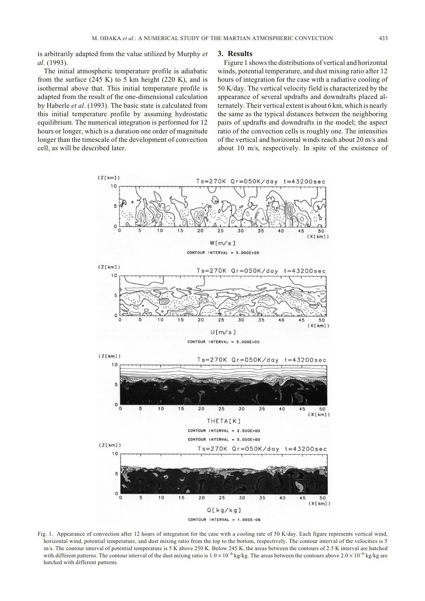is arbitrarily adapted from the value utilized by Murphy *et al*. (1993).

The initial atmospheric temperature profile is adiabatic from the surface  $(245 \text{ K})$  to 5 km height  $(220 \text{ K})$ , and is isothermal above that. This initial temperature profile is adapted from the result of the one-dimensional calculation by Haberle *et al*. (1993). The basic state is calculated from this initial temperature profile by assuming hydrostatic equilibrium. The numerical integration is performed for 12 hours or longer, which is a duration one order of magnitude longer than the timescale of the development of convection cell, as will be described later.

#### **3. Results**

Figure 1 shows the distributions of vertical and horizontal winds, potential temperature, and dust mixing ratio after 12 hours of integration for the case with a radiative cooling of 50 K/day. The vertical velocity field is characterized by the appearance of several updrafts and downdrafts placed alternately. Their vertical extent is about 6 km, which is nearly the same as the typical distances between the neighboring pairs of updrafts and downdrafts in the model; the aspect ratio of the convection cells is roughly one. The intensities of the vertical and horizontal winds reach about 20 m/s and about 10 m/s, respectively. In spite of the existence of





Fig. 1. Appearance of convection after 12 hours of integration for the case with a cooling rate of 50 K/day. Each figure represents vertical wind, horizontal wind, potential temperature, and dust mixing ratio from the top to the bottom, respectively. The contour interval of the velocities is 5 m/s. The contour interval of potential temperature is 5 K above 250 K. Below 245 K, the areas between the contours of 2.5 K interval are hatched with different patterns. The contour interval of the dust mixing ratio is  $1.0 \times 10^{-6}$  kg/kg. The areas between the contours above  $2.0 \times 10^{-6}$  kg/kg are hatched with different patterns.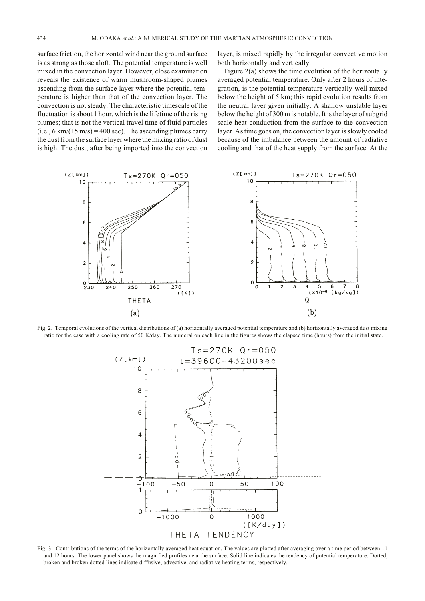surface friction, the horizontal wind near the ground surface is as strong as those aloft. The potential temperature is well mixed in the convection layer. However, close examination reveals the existence of warm mushroom-shaped plumes ascending from the surface layer where the potential temperature is higher than that of the convection layer. The convection is not steady. The characteristic timescale of the fluctuation is about 1 hour, which is the lifetime of the rising plumes; that is not the vertical travel time of fluid particles (i.e.,  $6 \text{ km}/(15 \text{ m/s}) = 400 \text{ sec}$ ). The ascending plumes carry the dust from the surface layer where the mixing ratio of dust is high. The dust, after being imported into the convection layer, is mixed rapidly by the irregular convective motion both horizontally and vertically.

Figure  $2(a)$  shows the time evolution of the horizontally averaged potential temperature. Only after 2 hours of integration, is the potential temperature vertically well mixed below the height of 5 km; this rapid evolution results from the neutral layer given initially. A shallow unstable layer below the height of 300 m is notable. It is the layer of subgrid scale heat conduction from the surface to the convection layer. As time goes on, the convection layer is slowly cooled because of the imbalance between the amount of radiative cooling and that of the heat supply from the surface. At the



Fig. 2. Temporal evolutions of the vertical distributions of (a) horizontally averaged potential temperature and (b) horizontally averaged dust mixing ratio for the case with a cooling rate of 50 K/day. The numeral on each line in the figures shows the elapsed time (hours) from the initial state.



Fig. 3. Contributions of the terms of the horizontally averaged heat equation. The values are plotted after averaging over a time period between 11 and 12 hours. The lower panel shows the magnified profiles near the surface. Solid line indicates the tendency of potential temperature. Dotted, broken and broken dotted lines indicate diffusive, advective, and radiative heating terms, respectively.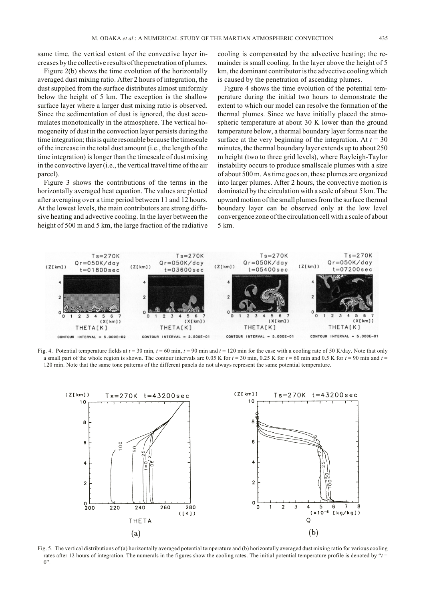same time, the vertical extent of the convective layer increases by the collective results of the penetration of plumes.

Figure 2(b) shows the time evolution of the horizontally averaged dust mixing ratio. After 2 hours of integration, the dust supplied from the surface distributes almost uniformly below the height of 5 km. The exception is the shallow surface layer where a larger dust mixing ratio is observed. Since the sedimentation of dust is ignored, the dust accumulates monotonically in the atmosphere. The vertical homogeneity of dust in the convection layer persists during the time integration; this is quite resonable because the timescale of the increase in the total dust amount (i.e., the length of the time integration) is longer than the timescale of dust mixing in the convective layer (i.e., the vertical travel time of the air parcel).

Figure 3 shows the contributions of the terms in the horizontally averaged heat equation. The values are plotted after averaging over a time period between 11 and 12 hours. At the lowest levels, the main contributors are strong diffusive heating and advective cooling. In the layer between the height of 500 m and 5 km, the large fraction of the radiative cooling is compensated by the advective heating; the remainder is small cooling. In the layer above the height of 5 km, the dominant contributor is the advective cooling which is caused by the penetration of ascending plumes.

Figure 4 shows the time evolution of the potential temperature during the initial two hours to demonstrate the extent to which our model can resolve the formation of the thermal plumes. Since we have initially placed the atmospheric temperature at about 30 K lower than the ground temperature below, a thermal boundary layer forms near the surface at the very beginning of the integration. At  $t = 30$ minutes, the thermal boundary layer extends up to about 250 m height (two to three grid levels), where Rayleigh-Taylor instability occurs to produce smallscale plumes with a size of about 500 m. As time goes on, these plumes are organized into larger plumes. After 2 hours, the convective motion is dominated by the circulation with a scale of about 5 km. The upward motion of the small plumes from the surface thermal boundary layer can be observed only at the low level convergence zone of the circulation cell with a scale of about 5 km.







Fig. 5. The vertical distributions of (a) horizontally averaged potential temperature and (b) horizontally averaged dust mixing ratio for various cooling rates after 12 hours of integration. The numerals in the figures show the cooling rates. The initial potential temperature profile is denoted by "*t* = 0".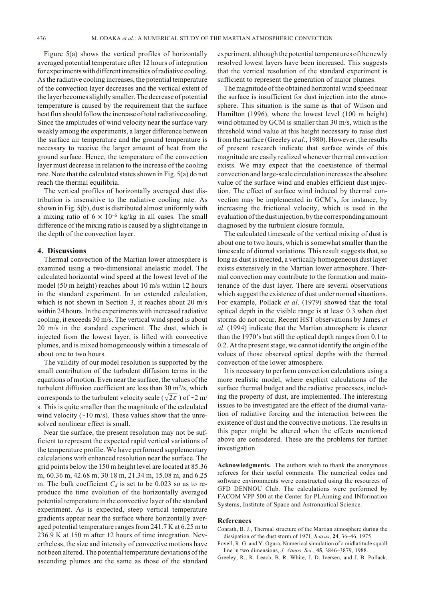Figure 5(a) shows the vertical profiles of horizontally averaged potential temperature after 12 hours of integration for experiments with different intensities of radiative cooling. As the radiative cooling increases, the potential temperature of the convection layer decreases and the vertical extent of the layer becomes slightly smaller. The decrease of potential temperature is caused by the requirement that the surface heat flux should follow the increase of total radiative cooling. Since the amplitudes of wind velocity near the surface vary weakly among the experiments, a larger difference between the surface air temperature and the ground temperature is necessary to receive the larger amount of heat from the ground surface. Hence, the temperature of the convection layer must decrease in relation to the increase of the cooling rate. Note that the calculated states shown in Fig. 5(a) do not reach the thermal equilibria. 436<br>
K. ODAKA et al.: A NUMERICAL STUDY OF<br>
Figure 5(a) shows the vertical profiles of horizontally<br>
averaged potential temperature after 12 hours of integration<br>
for experiments with different intensities of rolation (a

The vertical profiles of horizontally averaged dust distribution is insensitive to the radiative cooling rate. As shown in Fig. 5(b), dust is distributed almost uniformly with a mixing ratio of  $6 \times 10^{-6}$  kg/kg in all cases. The small difference of the mixing ratio is caused by a slight change in the depth of the convection layer.

# **4. Discussions**

Thermal convection of the Martian lower atmosphere is examined using a two-dimensional anelastic model. The calculated horizontal wind speed at the lowest level of the model (50 m height) reaches about 10 m/s within 12 hours in the standard experiment. In an extended calculation, which is not shown in Section 3, it reaches about 20 m/s within 24 hours. In the experiments with increased radiative cooling, it exceeds 30 m/s. The vertical wind speed is about 20 m/s in the standard experiment. The dust, which is injected from the lowest layer, is lifted with convective plumes, and is mixed homogeneously within a timescale of about one to two hours.

The validity of our model resolution is supported by the small contribution of the turbulent diffusion terms in the equations of motion. Even near the surface, the values of the turbulent diffusion coefficient are less than 30  $m^2/s$ , which corresponds to the turbulent velocity scale ( $\sqrt{2\epsilon}$ ) of ~2 m/ s. This is quite smaller than the magnitude of the calculated wind velocity  $(\sim 10 \text{ m/s})$ . These values show that the unresolved nonlinear effect is small.

Near the surface, the present resolution may not be sufficient to represent the expected rapid vertical variations of the temperature profile. We have performed supplementary calculations with enhanced resolution near the surface. The grid points below the 150 m height level are located at 85.36 m, 60.36 m, 42.68 m, 30.18 m, 21.34 m, 15.08 m, and 6.25 m. The bulk coefficient  $C_d$  is set to be 0.023 so as to reproduce the time evolution of the horizontally averaged potential temperature in the convective layer of the standard experiment. As is expected, steep vertical temperature gradients appear near the surface where horizontally averaged potential temperature ranges from 241.7 K at 6.25 m to 236.9 K at 150 m after 12 hours of time integration. Nevertheless, the size and intensity of convective motions have not been altered. The potential temperature deviations of the ascending plumes are the same as those of the standard experiment, although the potential temperatures of the newly resolved lowest layers have been increased. This suggests that the vertical resolution of the standard experiment is sufficient to represent the generation of major plumes.

The magnitude of the obtained horizontal wind speed near the surface is insufficient for dust injection into the atmosphere. This situation is the same as that of Wilson and Hamilton (1996), where the lowest level (100 m height) wind obtained by GCM is smaller than 30 m/s, which is the threshold wind value at this height necessary to raise dust from the surface (Greeley *et al*., 1980). However, the results of present research indicate that surface winds of this magnitude are easily realized whenever thermal convection exists. We may expect that the coexistence of thermal convection and large-scale circulation increases the absolute value of the surface wind and enables efficient dust injection. The effect of surface wind induced by thermal convection may be implemented in GCM's, for instance, by increasing the frictional velocity, which is used in the evaluation of the dust injection, by the corresponding amount diagnosed by the turbulent closure formula.

The calculated timescale of the vertical mixing of dust is about one to two hours, which is somewhat smaller than the timescale of diurnal variations. This result suggests that, so long as dust is injected, a vertically homogeneous dust layer exists extensively in the Martian lower atmosphere. Thermal convection may contribute to the formation and maintenance of the dust layer. There are several observations which suggest the existence of dust under normal situations. For example, Pollack *et al*. (1979) showed that the total optical depth in the visible range is at least 0.3 when dust storms do not occur. Recent HST observations by James *et al*. (1994) indicate that the Martian atmosphere is clearer than the 1970's but still the optical depth ranges from 0.1 to 0.2. At the present stage, we cannot identify the origin of the values of those observed optical depths with the thermal convection of the lower atmosphere.

It is necessary to perform convection calculations using a more realistic model, where explicit calculations of the surface thermal budget and the radiative processes, including the property of dust, are implemented. The interesting issues to be investigated are the effect of the diurnal variation of radiative forcing and the interaction between the existence of dust and the convective motions. The results in this paper might be altered when the effects mentioned above are considered. These are the problems for further investigation.

**Acknowledgments.** The authors wish to thank the anonymous referees for their useful comments. The numerical codes and software environments were constructed using the resources of GFD DENNOU Club. The calculations were performed by FACOM VPP 500 at the Center for PLAnning and INformation Systems, Institute of Space and Astronautical Science.

#### **References**

- Conrath, B. J., Thermal structure of the Martian atmosphere during the dissipation of the dust storm of 1971, *Icarus*, **24**, 36–46, 1975.
- Fovell, R. G. and Y. Ogura, Numerical simulation of a midlatitude squall line in two dimensions, *J. Atmos. Sci*., **45**, 3846–3879, 1988.
- Greeley, R., R. Leach, B. R. White, J. D. Iversen, and J. B. Pollack,